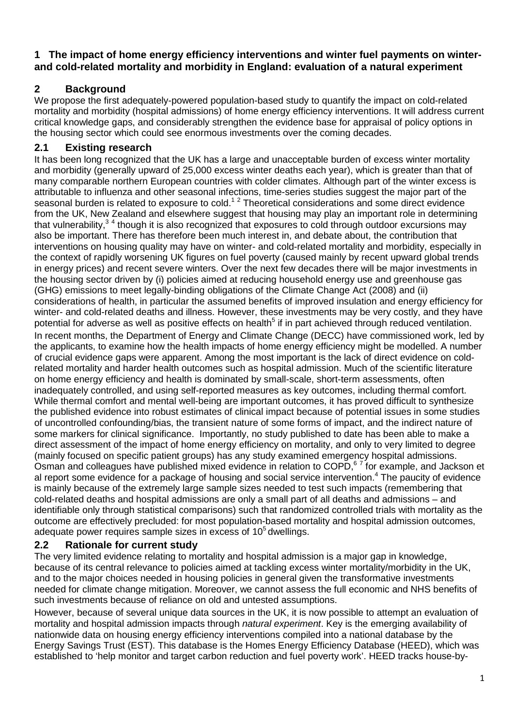### **1 The impact of home energy efficiency interventions and winter fuel payments on winterand cold-related mortality and morbidity in England: evaluation of a natural experiment**

# **2 Background**

We propose the first adequately-powered population-based study to quantify the impact on cold-related mortality and morbidity (hospital admissions) of home energy efficiency interventions. It will address current critical knowledge gaps, and considerably strengthen the evidence base for appraisal of policy options in the housing sector which could see enormous investments over the coming decades.

## **2.1 Existing research**

It has been long recognized that the UK has a large and unacceptable burden of excess winter mortality and morbidity (generally upward of 25,000 excess winter deaths each year), which is greater than that of many comparable northern European countries with colder climates. Although part of the winter excess is attributable to influenza and other seasonal infections, time-series studies suggest the major part of the seasonal burden is related to exposure to cold.<sup>12</sup> Theoretical considerations and some direct evidence from the UK, New Zealand and elsewhere suggest that housing may play an important role in determining that vulnerability,<sup>34</sup> though it is also recognized that exposures to cold through outdoor excursions may also be important. There has therefore been much interest in, and debate about, the contribution that interventions on housing quality may have on winter- and cold-related mortality and morbidity, especially in the context of rapidly worsening UK figures on fuel poverty (caused mainly by recent upward global trends in energy prices) and recent severe winters. Over the next few decades there will be major investments in the housing sector driven by (i) policies aimed at reducing household energy use and greenhouse gas (GHG) emissions to meet legally-binding obligations of the Climate Change Act (2008) and (ii) considerations of health, in particular the assumed benefits of improved insulation and energy efficiency for winter- and cold-related deaths and illness. However, these investments may be very costly, and they have potential for adverse as well as positive effects on health<sup>5</sup> if in part achieved through reduced ventilation. In recent months, the Department of Energy and Climate Change (DECC) have commissioned work, led by the applicants, to examine how the health impacts of home energy efficiency might be modelled. A number of crucial evidence gaps were apparent. Among the most important is the lack of direct evidence on coldrelated mortality and harder health outcomes such as hospital admission. Much of the scientific literature on home energy efficiency and health is dominated by small-scale, short-term assessments, often inadequately controlled, and using self-reported measures as key outcomes, including thermal comfort. While thermal comfort and mental well-being are important outcomes, it has proved difficult to synthesize the published evidence into robust estimates of clinical impact because of potential issues in some studies of uncontrolled confounding/bias, the transient nature of some forms of impact, and the indirect nature of some markers for clinical significance. Importantly, no study published to date has been able to make a direct assessment of the impact of home energy efficiency on mortality, and only to very limited to degree (mainly focused on specific patient groups) has any study examined emergency hospital admissions. Osman and colleagues have published mixed evidence in relation to COPD,<sup>67</sup> for example, and Jackson et al report some evidence for a package of housing and social service intervention.<sup>4</sup> The paucity of evidence is mainly because of the extremely large sample sizes needed to test such impacts (remembering that cold-related deaths and hospital admissions are only a small part of all deaths and admissions – and identifiable only through statistical comparisons) such that randomized controlled trials with mortality as the outcome are effectively precluded: for most population-based mortality and hospital admission outcomes, adequate power requires sample sizes in excess of  $10<sup>5</sup>$  dwellings.

## **2.2 Rationale for current study**

The very limited evidence relating to mortality and hospital admission is a major gap in knowledge, because of its central relevance to policies aimed at tackling excess winter mortality/morbidity in the UK, and to the major choices needed in housing policies in general given the transformative investments needed for climate change mitigation. Moreover, we cannot assess the full economic and NHS benefits of such investments because of reliance on old and untested assumptions.

However, because of several unique data sources in the UK, it is now possible to attempt an evaluation of mortality and hospital admission impacts through *natural experiment*. Key is the emerging availability of nationwide data on housing energy efficiency interventions compiled into a national database by the Energy Savings Trust (EST). This database is the Homes Energy Efficiency Database (HEED), which was established to 'help monitor and target carbon reduction and fuel poverty work'. HEED tracks house-by-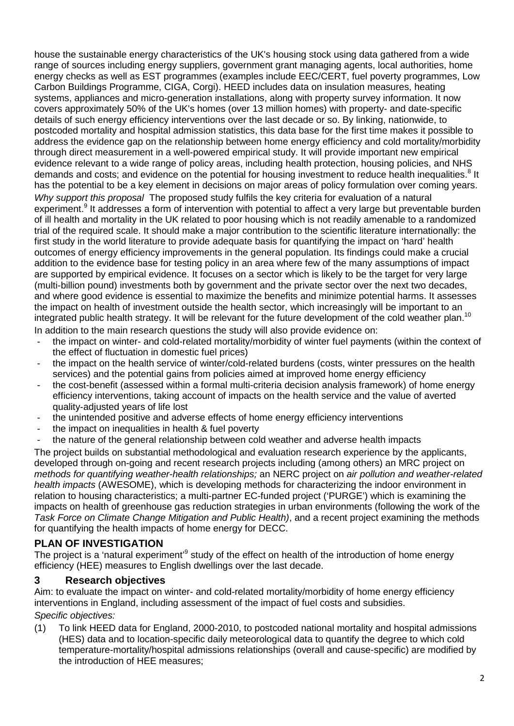house the sustainable energy characteristics of the UK's housing stock using data gathered from a wide range of sources including energy suppliers, government grant managing agents, local authorities, home energy checks as well as EST programmes (examples include EEC/CERT, fuel poverty programmes, Low Carbon Buildings Programme, CIGA, Corgi). HEED includes data on insulation measures, heating systems, appliances and micro-generation installations, along with property survey information. It now covers approximately 50% of the UK's homes (over 13 million homes) with property- and date-specific details of such energy efficiency interventions over the last decade or so. By linking, nationwide, to postcoded mortality and hospital admission statistics, this data base for the first time makes it possible to address the evidence gap on the relationship between home energy efficiency and cold mortality/morbidity through direct measurement in a well-powered empirical study. It will provide important new empirical evidence relevant to a wide range of policy areas, including health protection, housing policies, and NHS demands and costs; and evidence on the potential for housing investment to reduce health inequalities.<sup>8</sup> It has the potential to be a key element in decisions on major areas of policy formulation over coming years. *Why support this proposal* The proposed study fulfils the key criteria for evaluation of a natural experiment.<sup>9</sup> It addresses a form of intervention with potential to affect a very large but preventable burden of ill health and mortality in the UK related to poor housing which is not readily amenable to a randomized trial of the required scale. It should make a major contribution to the scientific literature internationally: the first study in the world literature to provide adequate basis for quantifying the impact on 'hard' health outcomes of energy efficiency improvements in the general population. Its findings could make a crucial addition to the evidence base for testing policy in an area where few of the many assumptions of impact are supported by empirical evidence. It focuses on a sector which is likely to be the target for very large (multi-billion pound) investments both by government and the private sector over the next two decades, and where good evidence is essential to maximize the benefits and minimize potential harms. It assesses the impact on health of investment outside the health sector, which increasingly will be important to an integrated public health strategy. It will be relevant for the future development of the cold weather plan.<sup>10</sup> In addition to the main research questions the study will also provide evidence on:

- the impact on winter- and cold-related mortality/morbidity of winter fuel payments (within the context of the effect of fluctuation in domestic fuel prices)
- the impact on the health service of winter/cold-related burdens (costs, winter pressures on the health services) and the potential gains from policies aimed at improved home energy efficiency
- the cost-benefit (assessed within a formal multi-criteria decision analysis framework) of home energy efficiency interventions, taking account of impacts on the health service and the value of averted quality-adjusted years of life lost
- the unintended positive and adverse effects of home energy efficiency interventions
- the impact on inequalities in health & fuel poverty
- the nature of the general relationship between cold weather and adverse health impacts

The project builds on substantial methodological and evaluation research experience by the applicants, developed through on-going and recent research projects including (among others) an MRC project on *methods for quantifying weather-health relationships;* an NERC project on *air pollution and weather-related health impacts* (AWESOME), which is developing methods for characterizing the indoor environment in relation to housing characteristics; a multi-partner EC-funded project ('PURGE') which is examining the impacts on health of greenhouse gas reduction strategies in urban environments (following the work of the *Task Force on Climate Change Mitigation and Public Health)*, and a recent project examining the methods for quantifying the health impacts of home energy for DECC.

### **PLAN OF INVESTIGATION**

The project is a 'natural experiment'<sup>9</sup> study of the effect on health of the introduction of home energy efficiency (HEE) measures to English dwellings over the last decade.

#### **3 Research objectives**

Aim: to evaluate the impact on winter- and cold-related mortality/morbidity of home energy efficiency interventions in England, including assessment of the impact of fuel costs and subsidies. *Specific objectives:*

(1) To link HEED data for England, 2000-2010, to postcoded national mortality and hospital admissions (HES) data and to location-specific daily meteorological data to quantify the degree to which cold temperature-mortality/hospital admissions relationships (overall and cause-specific) are modified by the introduction of HEE measures;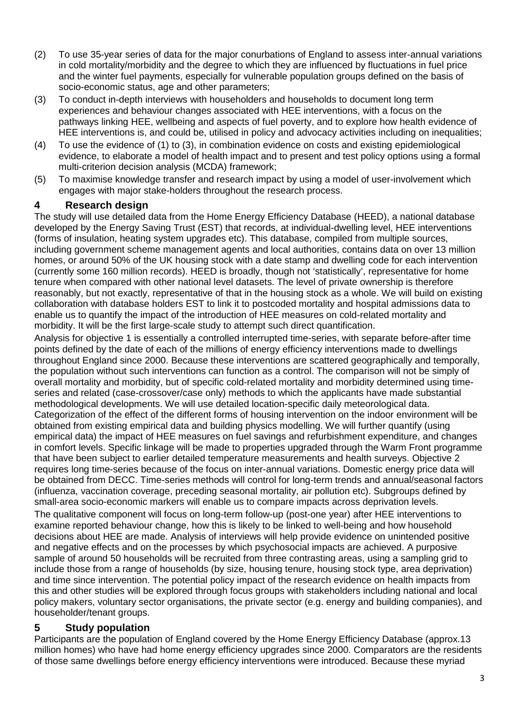- (2) To use 35-year series of data for the major conurbations of England to assess inter-annual variations in cold mortality/morbidity and the degree to which they are influenced by fluctuations in fuel price and the winter fuel payments, especially for vulnerable population groups defined on the basis of socio-economic status, age and other parameters;
- (3) To conduct in-depth interviews with householders and households to document long term experiences and behaviour changes associated with HEE interventions, with a focus on the pathways linking HEE, wellbeing and aspects of fuel poverty, and to explore how health evidence of HEE interventions is, and could be, utilised in policy and advocacy activities including on inequalities;
- (4) To use the evidence of (1) to (3), in combination evidence on costs and existing epidemiological evidence, to elaborate a model of health impact and to present and test policy options using a formal multi-criterion decision analysis (MCDA) framework;
- (5) To maximise knowledge transfer and research impact by using a model of user-involvement which engages with major stake-holders throughout the research process.

### **4 Research design**

The study will use detailed data from the Home Energy Efficiency Database (HEED), a national database developed by the Energy Saving Trust (EST) that records, at individual-dwelling level, HEE interventions (forms of insulation, heating system upgrades etc). This database, compiled from multiple sources, including government scheme management agents and local authorities, contains data on over 13 million homes, or around 50% of the UK housing stock with a date stamp and dwelling code for each intervention (currently some 160 million records). HEED is broadly, though not 'statistically', representative for home tenure when compared with other national level datasets. The level of private ownership is therefore reasonably, but not exactly, representative of that in the housing stock as a whole. We will build on existing collaboration with database holders EST to link it to postcoded mortality and hospital admissions data to enable us to quantify the impact of the introduction of HEE measures on cold-related mortality and morbidity. It will be the first large-scale study to attempt such direct quantification.

Analysis for objective 1 is essentially a controlled interrupted time-series, with separate before-after time points defined by the date of each of the millions of energy efficiency interventions made to dwellings throughout England since 2000. Because these interventions are scattered geographically and temporally, the population without such interventions can function as a control. The comparison will not be simply of overall mortality and morbidity, but of specific cold-related mortality and morbidity determined using timeseries and related (case-crossover/case only) methods to which the applicants have made substantial methodological developments. We will use detailed location-specific daily meteorological data. Categorization of the effect of the different forms of housing intervention on the indoor environment will be obtained from existing empirical data and building physics modelling. We will further quantify (using empirical data) the impact of HEE measures on fuel savings and refurbishment expenditure, and changes in comfort levels. Specific linkage will be made to properties upgraded through the Warm Front programme that have been subject to earlier detailed temperature measurements and health surveys. Objective 2 requires long time-series because of the focus on inter-annual variations. Domestic energy price data will be obtained from DECC. Time-series methods will control for long-term trends and annual/seasonal factors (influenza, vaccination coverage, preceding seasonal mortality, air pollution etc). Subgroups defined by small-area socio-economic markers will enable us to compare impacts across deprivation levels.

The qualitative component will focus on long-term follow-up (post-one year) after HEE interventions to examine reported behaviour change, how this is likely to be linked to well-being and how household decisions about HEE are made. Analysis of interviews will help provide evidence on unintended positive and negative effects and on the processes by which psychosocial impacts are achieved. A purposive sample of around 50 households will be recruited from three contrasting areas, using a sampling grid to include those from a range of households (by size, housing tenure, housing stock type, area deprivation) and time since intervention. The potential policy impact of the research evidence on health impacts from this and other studies will be explored through focus groups with stakeholders including national and local policy makers, voluntary sector organisations, the private sector (e.g. energy and building companies), and householder/tenant groups.

## **5 Study population**

Participants are the population of England covered by the Home Energy Efficiency Database (approx.13 million homes) who have had home energy efficiency upgrades since 2000. Comparators are the residents of those same dwellings before energy efficiency interventions were introduced. Because these myriad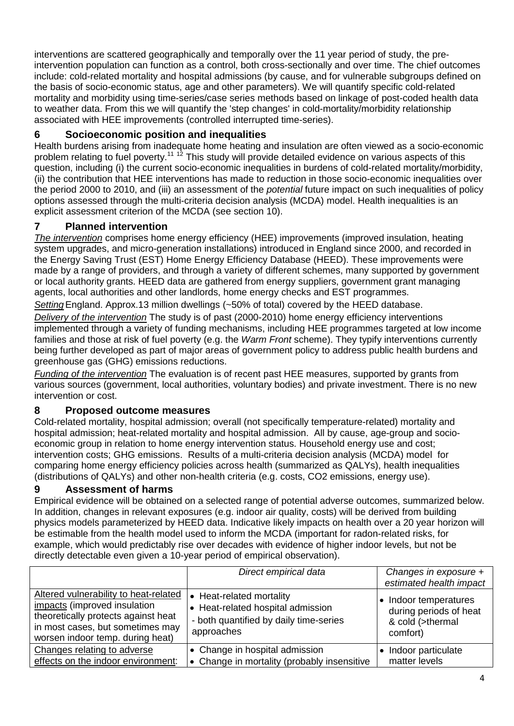interventions are scattered geographically and temporally over the 11 year period of study, the preintervention population can function as a control, both cross-sectionally and over time. The chief outcomes include: cold-related mortality and hospital admissions (by cause, and for vulnerable subgroups defined on the basis of socio-economic status, age and other parameters). We will quantify specific cold-related mortality and morbidity using time-series/case series methods based on linkage of post-coded health data to weather data. From this we will quantify the 'step changes' in cold-mortality/morbidity relationship associated with HEE improvements (controlled interrupted time-series).

## **6 Socioeconomic position and inequalities**

Health burdens arising from inadequate home heating and insulation are often viewed as a socio-economic problem relating to fuel poverty.<sup>11 12</sup> This study will provide detailed evidence on various aspects of this question, including (i) the current socio-economic inequalities in burdens of cold-related mortality/morbidity, (ii) the contribution that HEE interventions has made to reduction in those socio-economic inequalities over the period 2000 to 2010, and (iii) an assessment of the *potential* future impact on such inequalities of policy options assessed through the multi-criteria decision analysis (MCDA) model. Health inequalities is an explicit assessment criterion of the MCDA (see section 10).

### **7 Planned intervention**

*The intervention* comprises home energy efficiency (HEE) improvements (improved insulation, heating system upgrades, and micro-generation installations) introduced in England since 2000, and recorded in the Energy Saving Trust (EST) Home Energy Efficiency Database (HEED). These improvements were made by a range of providers, and through a variety of different schemes, many supported by government or local authority grants. HEED data are gathered from energy suppliers, government grant managing agents, local authorities and other landlords, home energy checks and EST programmes.

*Setting*England. Approx.13 million dwellings (~50% of total) covered by the HEED database.

*Delivery of the intervention* The study is of past (2000-2010) home energy efficiency interventions implemented through a variety of funding mechanisms, including HEE programmes targeted at low income families and those at risk of fuel poverty (e.g. the *Warm Front* scheme). They typify interventions currently being further developed as part of major areas of government policy to address public health burdens and greenhouse gas (GHG) emissions reductions.

*Funding of the intervention* The evaluation is of recent past HEE measures, supported by grants from various sources (government, local authorities, voluntary bodies) and private investment. There is no new intervention or cost.

## **8 Proposed outcome measures**

Cold-related mortality, hospital admission; overall (not specifically temperature-related) mortality and hospital admission; heat-related mortality and hospital admission. All by cause, age-group and socioeconomic group in relation to home energy intervention status. Household energy use and cost; intervention costs; GHG emissions. Results of a multi-criteria decision analysis (MCDA) model for comparing home energy efficiency policies across health (summarized as QALYs), health inequalities (distributions of QALYs) and other non-health criteria (e.g. costs, CO2 emissions, energy use).

## **9 Assessment of harms**

Empirical evidence will be obtained on a selected range of potential adverse outcomes, summarized below. In addition, changes in relevant exposures (e.g. indoor air quality, costs) will be derived from building physics models parameterized by HEED data. Indicative likely impacts on health over a 20 year horizon will be estimable from the health model used to inform the MCDA (important for radon-related risks, for example, which would predictably rise over decades with evidence of higher indoor levels, but not be directly detectable even given a 10-year period of empirical observation).

|                                                                                                                                                                                      | Direct empirical data                                                                                                 | Changes in exposure +<br>estimated health impact                              |
|--------------------------------------------------------------------------------------------------------------------------------------------------------------------------------------|-----------------------------------------------------------------------------------------------------------------------|-------------------------------------------------------------------------------|
| Altered vulnerability to heat-related<br>impacts (improved insulation<br>theoretically protects against heat<br>in most cases, but sometimes may<br>worsen indoor temp. during heat) | • Heat-related mortality<br>• Heat-related hospital admission<br>- both quantified by daily time-series<br>approaches | Indoor temperatures<br>during periods of heat<br>& cold (>thermal<br>comfort) |
| Changes relating to adverse<br>effects on the indoor environment:                                                                                                                    | • Change in hospital admission<br>• Change in mortality (probably insensitive                                         | Indoor particulate<br>matter levels                                           |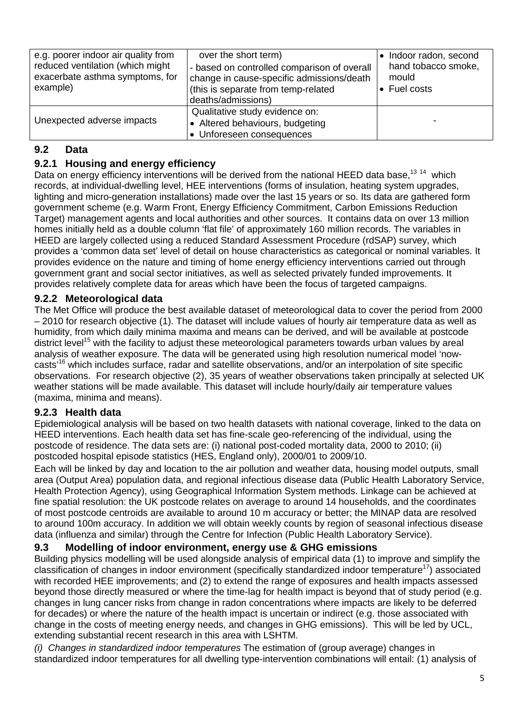| e.g. poorer indoor air quality from<br>reduced ventilation (which might<br>exacerbate asthma symptoms, for<br>example) | over the short term)<br>- based on controlled comparison of overall<br>change in cause-specific admissions/death<br>(this is separate from temp-related<br>deaths/admissions) | Indoor radon, second<br>hand tobacco smoke,<br>mould<br>• Fuel costs |
|------------------------------------------------------------------------------------------------------------------------|-------------------------------------------------------------------------------------------------------------------------------------------------------------------------------|----------------------------------------------------------------------|
| Unexpected adverse impacts                                                                                             | Qualitative study evidence on:<br>• Altered behaviours, budgeting<br>• Unforeseen consequences                                                                                |                                                                      |

### **9.2 Data**

### **9.2.1 Housing and energy efficiency**

Data on energy efficiency interventions will be derived from the national HEED data base.<sup>13 14</sup> which records, at individual-dwelling level, HEE interventions (forms of insulation, heating system upgrades, lighting and micro-generation installations) made over the last 15 years or so. Its data are gathered form government scheme (e.g. Warm Front, Energy Efficiency Commitment, Carbon Emissions Reduction Target) management agents and local authorities and other sources. It contains data on over 13 million homes initially held as a double column 'flat file' of approximately 160 million records. The variables in HEED are largely collected using a reduced Standard Assessment Procedure (rdSAP) survey, which provides a 'common data set' level of detail on house characteristics as categorical or nominal variables. It provides evidence on the nature and timing of home energy efficiency interventions carried out through government grant and social sector initiatives, as well as selected privately funded improvements. It provides relatively complete data for areas which have been the focus of targeted campaigns.

### **9.2.2 Meteorological data**

The Met Office will produce the best available dataset of meteorological data to cover the period from 2000 – 2010 for research objective (1). The dataset will include values of hourly air temperature data as well as humidity, from which daily minima maxima and means can be derived, and will be available at postcode district level<sup>15</sup> with the facility to adjust these meteorological parameters towards urban values by areal analysis of weather exposure. The data will be generated using high resolution numerical model 'nowcasts'16 which includes surface, radar and satellite observations, and/or an interpolation of site specific observations. For research objective (2), 35 years of weather observations taken principally at selected UK weather stations will be made available. This dataset will include hourly/daily air temperature values (maxima, minima and means).

### **9.2.3 Health data**

Epidemiological analysis will be based on two health datasets with national coverage, linked to the data on HEED interventions. Each health data set has fine-scale geo-referencing of the individual, using the postcode of residence. The data sets are: (i) national post-coded mortality data, 2000 to 2010; (ii) postcoded hospital episode statistics (HES, England only), 2000/01 to 2009/10.

Each will be linked by day and location to the air pollution and weather data, housing model outputs, small area (Output Area) population data, and regional infectious disease data (Public Health Laboratory Service, Health Protection Agency), using Geographical Information System methods. Linkage can be achieved at fine spatial resolution: the UK postcode relates on average to around 14 households, and the coordinates of most postcode centroids are available to around 10 m accuracy or better; the MINAP data are resolved to around 100m accuracy. In addition we will obtain weekly counts by region of seasonal infectious disease data (influenza and similar) through the Centre for Infection (Public Health Laboratory Service).

#### **9.3 Modelling of indoor environment, energy use & GHG emissions**

Building physics modelling will be used alongside analysis of empirical data (1) to improve and simplify the classification of changes in indoor environment (specifically standardized indoor temperature<sup>17</sup>) associated with recorded HEE improvements; and (2) to extend the range of exposures and health impacts assessed beyond those directly measured or where the time-lag for health impact is beyond that of study period (e.g. changes in lung cancer risks from change in radon concentrations where impacts are likely to be deferred for decades) or where the nature of the health impact is uncertain or indirect (e.g. those associated with change in the costs of meeting energy needs, and changes in GHG emissions). This will be led by UCL, extending substantial recent research in this area with LSHTM.

*(i) Changes in standardized indoor temperatures* The estimation of (group average) changes in standardized indoor temperatures for all dwelling type-intervention combinations will entail: (1) analysis of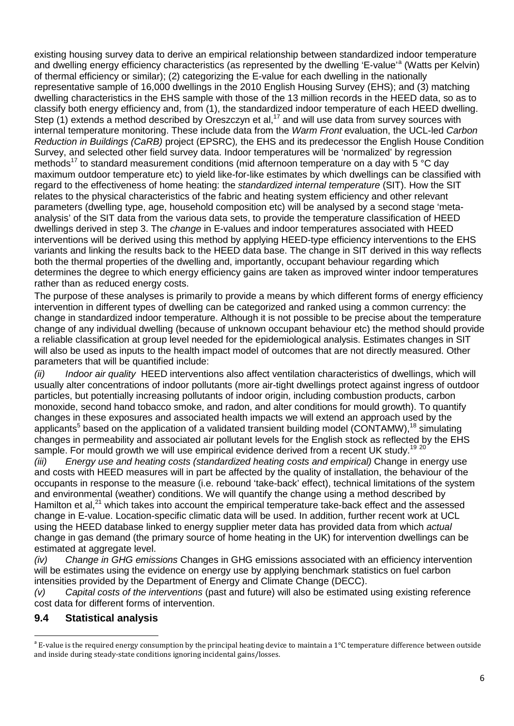existing housing survey data to derive an empirical relationship between standardized indoor temperature [a](#page-5-0)nd dwelling energy efficiency characteristics (as represented by the dwelling 'E-value'<sup>a</sup> (Watts per Kelvin) of thermal efficiency or similar); (2) categorizing the E-value for each dwelling in the nationally representative sample of 16,000 dwellings in the 2010 English Housing Survey (EHS); and (3) matching dwelling characteristics in the EHS sample with those of the 13 million records in the HEED data, so as to classify both energy efficiency and, from (1), the standardized indoor temperature of each HEED dwelling. Step  $(1)$  extends a method described by Oreszczyn et al,<sup>17</sup> and will use data from survey sources with internal temperature monitoring. These include data from the *Warm Front* evaluation, the UCL-led *Carbon Reduction in Buildings (CaRB)* project (EPSRC)*,* the EHS and its predecessor the English House Condition Survey, and selected other field survey data. Indoor temperatures will be 'normalized' by regression methods<sup>17</sup> to standard measurement conditions (mid afternoon temperature on a day with 5  $\degree$ C day maximum outdoor temperature etc) to yield like-for-like estimates by which dwellings can be classified with regard to the effectiveness of home heating: the *standardized internal temperature* (SIT). How the SIT relates to the physical characteristics of the fabric and heating system efficiency and other relevant parameters (dwelling type, age, household composition etc) will be analysed by a second stage 'metaanalysis' of the SIT data from the various data sets, to provide the temperature classification of HEED dwellings derived in step 3. The *change* in E-values and indoor temperatures associated with HEED interventions will be derived using this method by applying HEED-type efficiency interventions to the EHS variants and linking the results back to the HEED data base. The change in SIT derived in this way reflects both the thermal properties of the dwelling and, importantly, occupant behaviour regarding which determines the degree to which energy efficiency gains are taken as improved winter indoor temperatures rather than as reduced energy costs.

The purpose of these analyses is primarily to provide a means by which different forms of energy efficiency intervention in different types of dwelling can be categorized and ranked using a common currency: the change in standardized indoor temperature. Although it is not possible to be precise about the temperature change of any individual dwelling (because of unknown occupant behaviour etc) the method should provide a reliable classification at group level needed for the epidemiological analysis. Estimates changes in SIT will also be used as inputs to the health impact model of outcomes that are not directly measured. Other parameters that will be quantified include:

*(ii) Indoor air quality* HEED interventions also affect ventilation characteristics of dwellings, which will usually alter concentrations of indoor pollutants (more air-tight dwellings protect against ingress of outdoor particles, but potentially increasing pollutants of indoor origin, including combustion products, carbon monoxide, second hand tobacco smoke, and radon, and alter conditions for mould growth). To quantify changes in these exposures and associated health impacts we will extend an approach used by the applicants<sup>5</sup> based on the application of a validated transient building model (CONTAMW),<sup>18</sup> simulating changes in permeability and associated air pollutant levels for the English stock as reflected by the EHS sample. For mould growth we will use empirical evidence derived from a recent UK study.<sup>19 20</sup>

*(iii) Energy use and heating costs (standardized heating costs and empirical)* Change in energy use and costs with HEED measures will in part be affected by the quality of installation, the behaviour of the occupants in response to the measure (i.e. rebound 'take-back' effect), technical limitations of the system and environmental (weather) conditions. We will quantify the change using a method described by Hamilton et al.<sup>21</sup> which takes into account the empirical temperature take-back effect and the assessed change in E-value. Location-specific climatic data will be used. In addition, further recent work at UCL using the HEED database linked to energy supplier meter data has provided data from which *actual* change in gas demand (the primary source of home heating in the UK) for intervention dwellings can be estimated at aggregate level.

*(iv) Change in GHG emissions* Changes in GHG emissions associated with an efficiency intervention will be estimates using the evidence on energy use by applying benchmark statistics on fuel carbon intensities provided by the Department of Energy and Climate Change (DECC).

*(v) Capital costs of the interventions* (past and future) will also be estimated using existing reference cost data for different forms of intervention.

### **9.4 Statistical analysis**

 $\overline{a}$ 

<span id="page-5-0"></span> $a^2$  E-value is the required energy consumption by the principal heating device to maintain a 1°C temperature difference between outside and inside during steady-state conditions ignoring incidental gains/losses.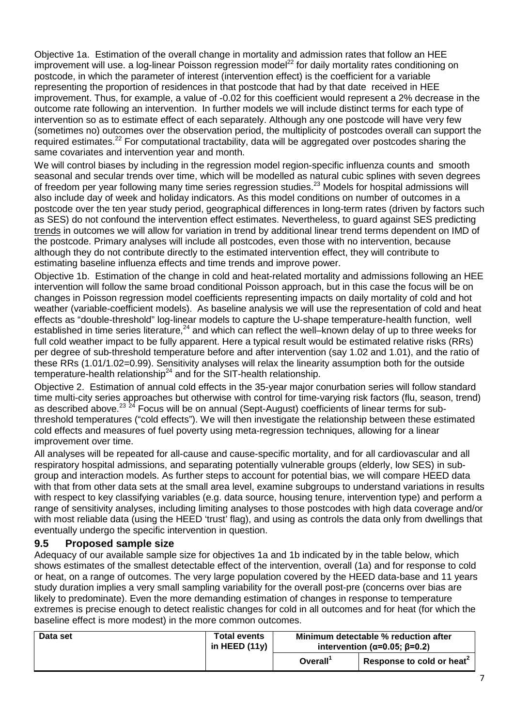Objective 1a. Estimation of the overall change in mortality and admission rates that follow an HEE improvement will use. a log-linear Poisson regression model<sup>22</sup> for daily mortality rates conditioning on postcode, in which the parameter of interest (intervention effect) is the coefficient for a variable representing the proportion of residences in that postcode that had by that date received in HEE improvement. Thus, for example, a value of -0.02 for this coefficient would represent a 2% decrease in the outcome rate following an intervention. In further models we will include distinct terms for each type of intervention so as to estimate effect of each separately. Although any one postcode will have very few (sometimes no) outcomes over the observation period, the multiplicity of postcodes overall can support the required estimates.<sup>22</sup> For computational tractability, data will be aggregated over postcodes sharing the same covariates and intervention year and month.

We will control biases by including in the regression model region-specific influenza counts and smooth seasonal and secular trends over time, which will be modelled as natural cubic splines with seven degrees of freedom per year following many time series regression studies.<sup>23</sup> Models for hospital admissions will also include day of week and holiday indicators. As this model conditions on number of outcomes in a postcode over the ten year study period, geographical differences in long-term rates (driven by factors such as SES) do not confound the intervention effect estimates. Nevertheless, to guard against SES predicting trends in outcomes we will allow for variation in trend by additional linear trend terms dependent on IMD of the postcode. Primary analyses will include all postcodes, even those with no intervention, because although they do not contribute directly to the estimated intervention effect, they will contribute to estimating baseline influenza effects and time trends and improve power.

Objective 1b. Estimation of the change in cold and heat-related mortality and admissions following an HEE intervention will follow the same broad conditional Poisson approach, but in this case the focus will be on changes in Poisson regression model coefficients representing impacts on daily mortality of cold and hot weather (variable-coefficient models). As baseline analysis we will use the representation of cold and heat effects as "double-threshold" log-linear models to capture the U-shape temperature-health function, well established in time series literature,  $24$  and which can reflect the well–known delay of up to three weeks for full cold weather impact to be fully apparent. Here a typical result would be estimated relative risks (RRs) per degree of sub-threshold temperature before and after intervention (say 1.02 and 1.01), and the ratio of these RRs (1.01/1.02=0.99). Sensitivity analyses will relax the linearity assumption both for the outside temperature-health relationship<sup>24</sup> and for the SIT-health relationship.

Objective 2. Estimation of annual cold effects in the 35-year major conurbation series will follow standard time multi-city series approaches but otherwise with control for time-varying risk factors (flu, season, trend) as described above.<sup>23 24</sup> Focus will be on annual (Sept-August) coefficients of linear terms for subthreshold temperatures ("cold effects"). We will then investigate the relationship between these estimated cold effects and measures of fuel poverty using meta-regression techniques, allowing for a linear improvement over time.

All analyses will be repeated for all-cause and cause-specific mortality, and for all cardiovascular and all respiratory hospital admissions, and separating potentially vulnerable groups (elderly, low SES) in subgroup and interaction models. As further steps to account for potential bias, we will compare HEED data with that from other data sets at the small area level, examine subgroups to understand variations in results with respect to key classifying variables (e.g. data source, housing tenure, intervention type) and perform a range of sensitivity analyses, including limiting analyses to those postcodes with high data coverage and/or with most reliable data (using the HEED 'trust' flag), and using as controls the data only from dwellings that eventually undergo the specific intervention in question.

### **9.5 Proposed sample size**

Adequacy of our available sample size for objectives 1a and 1b indicated by in the table below, which shows estimates of the smallest detectable effect of the intervention, overall (1a) and for response to cold or heat, on a range of outcomes. The very large population covered by the HEED data-base and 11 years study duration implies a very small sampling variability for the overall post-pre (concerns over bias are likely to predominate). Even the more demanding estimation of changes in response to temperature extremes is precise enough to detect realistic changes for cold in all outcomes and for heat (for which the baseline effect is more modest) in the more common outcomes.

| Data set | <b>Total events</b><br>in HEED $(11y)$ | Minimum detectable % reduction after<br>intervention ( $\alpha$ =0.05; $\beta$ =0.2) |                                       |  |
|----------|----------------------------------------|--------------------------------------------------------------------------------------|---------------------------------------|--|
|          |                                        | Overall <sup>'</sup>                                                                 | Response to cold or heat <sup>2</sup> |  |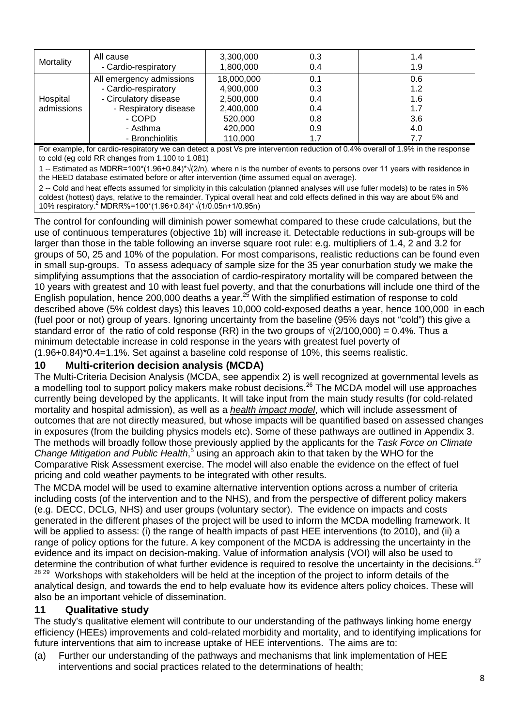| Mortality                                                 | All cause<br>- Cardio-respiratory | 3,300,000<br>1,800,000 | 0.3<br>0.4 | 1.4<br>1.9 |
|-----------------------------------------------------------|-----------------------------------|------------------------|------------|------------|
|                                                           | All emergency admissions          | 18,000,000             | 0.1        | 0.6        |
| - Cardio-respiratory<br>- Circulatory disease<br>Hospital |                                   | 4,900,000              | 0.3        | 1.2        |
|                                                           |                                   | 2,500,000              | 0.4        | 1.6        |
| - Respiratory disease<br>admissions<br>- COPD             | 2,400,000                         | 0.4                    | 1.7        |            |
|                                                           |                                   | 520,000                | 0.8        | 3.6        |
|                                                           | - Asthma                          | 420,000                | 0.9        | 4.0        |
|                                                           | - Bronchiolitis                   | 110,000                | 1.7        | 7.7        |

For example, for cardio-respiratory we can detect a post Vs pre intervention reduction of 0.4% overall of 1.9% in the response to cold (eg cold RR changes from 1.100 to 1.081)

1 -- Estimated as MDRR=100\*(1.96+0.84)\*√(2/n), where n is the number of events to persons over 11 years with residence in the HEED database estimated before or after intervention (time assumed equal on average).

2 -- Cold and heat effects assumed for simplicity in this calculation (planned analyses will use fuller models) to be rates in 5% coldest (hottest) days, relative to the remainder. Typical overall heat and cold effects defined in this way are about 5% and 10% respiratory. <sup>2</sup> MDRR%=100\*(1.96+0.84)\*√(1/0.05n+1/0.95n)

The control for confounding will diminish power somewhat compared to these crude calculations, but the use of continuous temperatures (objective 1b) will increase it. Detectable reductions in sub-groups will be larger than those in the table following an inverse square root rule: e.g. multipliers of 1.4, 2 and 3.2 for groups of 50, 25 and 10% of the population. For most comparisons, realistic reductions can be found even in small sup-groups. To assess adequacy of sample size for the 35 year conurbation study we make the simplifying assumptions that the association of cardio-respiratory mortality will be compared between the 10 years with greatest and 10 with least fuel poverty, and that the conurbations will include one third of the English population, hence 200,000 deaths a year.25 With the simplified estimation of response to cold described above (5% coldest days) this leaves 10,000 cold-exposed deaths a year, hence 100,000 in each (fuel poor or not) group of years. Ignoring uncertainty from the baseline (95% days not "cold") this give a standard error of the ratio of cold response (RR) in the two groups of  $\sqrt{(2/100,000)} = 0.4\%$ . Thus a minimum detectable increase in cold response in the years with greatest fuel poverty of (1.96+0.84)\*0.4=1.1%. Set against a baseline cold response of 10%, this seems realistic.

#### **10 Multi-criterion decision analysis (MCDA)**

The Multi-Criteria Decision Analysis (MCDA, see appendix 2) is well recognized at governmental levels as a modelling tool to support policy makers make robust decisions.<sup>26</sup> The MCDA model will use approaches currently being developed by the applicants. It will take input from the main study results (for cold-related mortality and hospital admission), as well as a *health impact model*, which will include assessment of outcomes that are not directly measured, but whose impacts will be quantified based on assessed changes in exposures (from the building physics models etc). Some of these pathways are outlined in Appendix 3. The methods will broadly follow those previously applied by the applicants for the *Task Force on Climate Change Mitigation and Public Health*, <sup>5</sup> using an approach akin to that taken by the WHO for the Comparative Risk Assessment exercise. The model will also enable the evidence on the effect of fuel pricing and cold weather payments to be integrated with other results.

The MCDA model will be used to examine alternative intervention options across a number of criteria including costs (of the intervention and to the NHS), and from the perspective of different policy makers (e.g. DECC, DCLG, NHS) and user groups (voluntary sector). The evidence on impacts and costs generated in the different phases of the project will be used to inform the MCDA modelling framework. It will be applied to assess: (i) the range of health impacts of past HEE interventions (to 2010), and (ii) a range of policy options for the future. A key component of the MCDA is addressing the uncertainty in the evidence and its impact on decision-making. Value of information analysis (VOI) will also be used to determine the contribution of what further evidence is required to resolve the uncertainty in the decisions.<sup>27</sup> <sup>28 29</sup> Workshops with stakeholders will be held at the inception of the project to inform details of the analytical design, and towards the end to help evaluate how its evidence alters policy choices. These will

#### **11 Qualitative study**

also be an important vehicle of dissemination.

The study's qualitative element will contribute to our understanding of the pathways linking home energy efficiency (HEEs) improvements and cold-related morbidity and mortality, and to identifying implications for future interventions that aim to increase uptake of HEE interventions. The aims are to:

(a) Further our understanding of the pathways and mechanisms that link implementation of HEE interventions and social practices related to the determinations of health;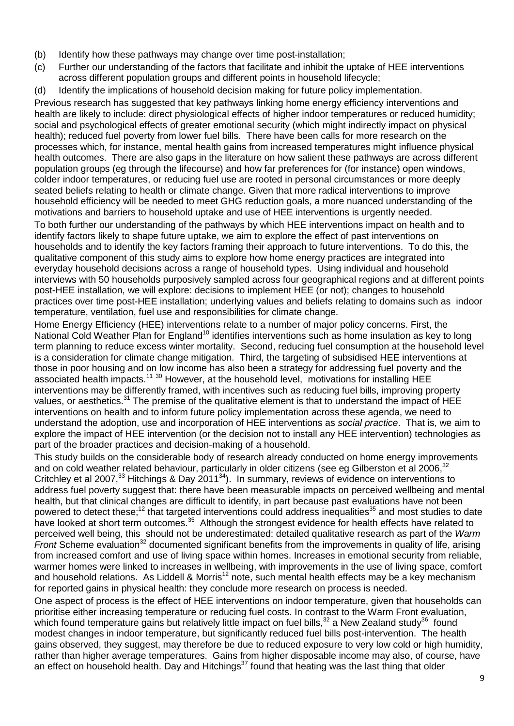- (b) Identify how these pathways may change over time post-installation;
- (c) Further our understanding of the factors that facilitate and inhibit the uptake of HEE interventions across different population groups and different points in household lifecycle;
- (d) Identify the implications of household decision making for future policy implementation.

Previous research has suggested that key pathways linking home energy efficiency interventions and health are likely to include: direct physiological effects of higher indoor temperatures or reduced humidity; social and psychological effects of greater emotional security (which might indirectly impact on physical health); reduced fuel poverty from lower fuel bills. There have been calls for more research on the processes which, for instance, mental health gains from increased temperatures might influence physical health outcomes. There are also gaps in the literature on how salient these pathways are across different population groups (eg through the lifecourse) and how far preferences for (for instance) open windows, colder indoor temperatures, or reducing fuel use are rooted in personal circumstances or more deeply seated beliefs relating to health or climate change. Given that more radical interventions to improve household efficiency will be needed to meet GHG reduction goals, a more nuanced understanding of the motivations and barriers to household uptake and use of HEE interventions is urgently needed.

To both further our understanding of the pathways by which HEE interventions impact on health and to identify factors likely to shape future uptake, we aim to explore the effect of past interventions on households and to identify the key factors framing their approach to future interventions. To do this, the qualitative component of this study aims to explore how home energy practices are integrated into everyday household decisions across a range of household types. Using individual and household interviews with 50 households purposively sampled across four geographical regions and at different points post-HEE installation, we will explore: decisions to implement HEE (or not); changes to household practices over time post-HEE installation; underlying values and beliefs relating to domains such as indoor temperature, ventilation, fuel use and responsibilities for climate change.

Home Energy Efficiency (HEE) interventions relate to a number of major policy concerns. First, the National Cold Weather Plan for England<sup>10</sup> identifies interventions such as home insulation as key to long term planning to reduce excess winter mortality. Second, reducing fuel consumption at the household level is a consideration for climate change mitigation. Third, the targeting of subsidised HEE interventions at those in poor housing and on low income has also been a strategy for addressing fuel poverty and the associated health impacts.<sup>11 30</sup> However, at the household level, motivations for installing HEE interventions may be differently framed, with incentives such as reducing fuel bills, improving property values, or aesthetics.<sup>31</sup> The premise of the qualitative element is that to understand the impact of HEE interventions on health and to inform future policy implementation across these agenda, we need to understand the adoption, use and incorporation of HEE interventions as *social practice*. That is, we aim to explore the impact of HEE intervention (or the decision not to install any HEE intervention) technologies as part of the broader practices and decision-making of a household.

This study builds on the considerable body of research already conducted on home energy improvements and on cold weather related behaviour, particularly in older citizens (see eg Gilberston et al 2006,<sup>32</sup> Critchley et al 2007,<sup>33</sup> Hitchings & Day 2011<sup>34</sup>). In summary, reviews of evidence on interventions to address fuel poverty suggest that: there have been measurable impacts on perceived wellbeing and mental health, but that clinical changes are difficult to identify, in part because past evaluations have not been powered to detect these;<sup>12</sup> that targeted interventions could address inequalities<sup>35</sup> and most studies to date have looked at short term outcomes.<sup>35</sup> Although the strongest evidence for health effects have related to perceived well being, this should not be underestimated: detailed qualitative research as part of the *Warm Front* Scheme evaluation<sup>32</sup> documented significant benefits from the improvements in quality of life, arising from increased comfort and use of living space within homes. Increases in emotional security from reliable, warmer homes were linked to increases in wellbeing, with improvements in the use of living space, comfort and household relations. As Liddell & Morris<sup>12</sup> note, such mental health effects may be a key mechanism for reported gains in physical health: they conclude more research on process is needed.

One aspect of process is the effect of HEE interventions on indoor temperature, given that households can prioritise either increasing temperature or reducing fuel costs. In contrast to the Warm Front evaluation, which found temperature gains but relatively little impact on fuel bills,<sup>32</sup> a New Zealand study<sup>36</sup> found modest changes in indoor temperature, but significantly reduced fuel bills post-intervention. The health gains observed, they suggest, may therefore be due to reduced exposure to very low cold or high humidity, rather than higher average temperatures. Gains from higher disposable income may also, of course, have an effect on household health. Day and Hitchings $37$  found that heating was the last thing that older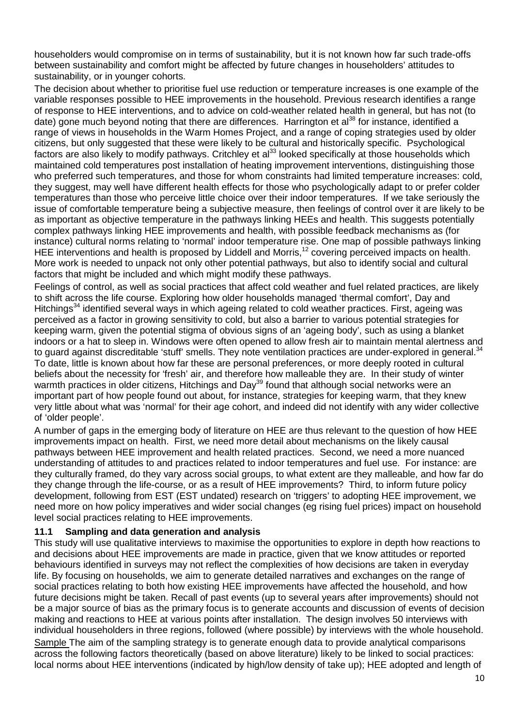householders would compromise on in terms of sustainability, but it is not known how far such trade-offs between sustainability and comfort might be affected by future changes in householders' attitudes to sustainability, or in younger cohorts.

The decision about whether to prioritise fuel use reduction or temperature increases is one example of the variable responses possible to HEE improvements in the household. Previous research identifies a range of response to HEE interventions, and to advice on cold-weather related health in general, but has not (to date) gone much beyond noting that there are differences. Harrington et al<sup>38</sup> for instance, identified a range of views in households in the Warm Homes Project, and a range of coping strategies used by older citizens, but only suggested that these were likely to be cultural and historically specific. Psychological factors are also likely to modify pathways. Critchley et al<sup>33</sup> looked specifically at those households which maintained cold temperatures post installation of heating improvement interventions, distinguishing those who preferred such temperatures, and those for whom constraints had limited temperature increases: cold, they suggest, may well have different health effects for those who psychologically adapt to or prefer colder temperatures than those who perceive little choice over their indoor temperatures. If we take seriously the issue of comfortable temperature being a subjective measure, then feelings of control over it are likely to be as important as objective temperature in the pathways linking HEEs and health. This suggests potentially complex pathways linking HEE improvements and health, with possible feedback mechanisms as (for instance) cultural norms relating to 'normal' indoor temperature rise. One map of possible pathways linking HEE interventions and health is proposed by Liddell and Morris,<sup>12</sup> covering perceived impacts on health. More work is needed to unpack not only other potential pathways, but also to identify social and cultural factors that might be included and which might modify these pathways.

Feelings of control, as well as social practices that affect cold weather and fuel related practices, are likely to shift across the life course. Exploring how older households managed 'thermal comfort', Day and Hitchings<sup>34</sup> identified several ways in which ageing related to cold weather practices. First, ageing was perceived as a factor in growing sensitivity to cold, but also a barrier to various potential strategies for keeping warm, given the potential stigma of obvious signs of an 'ageing body', such as using a blanket indoors or a hat to sleep in. Windows were often opened to allow fresh air to maintain mental alertness and to guard against discreditable 'stuff' smells. They note ventilation practices are under-explored in general.<sup>34</sup> To date, little is known about how far these are personal preferences, or more deeply rooted in cultural beliefs about the necessity for 'fresh' air, and therefore how malleable they are. In their study of winter warmth practices in older citizens, Hitchings and Day<sup>39</sup> found that although social networks were an important part of how people found out about, for instance, strategies for keeping warm, that they knew very little about what was 'normal' for their age cohort, and indeed did not identify with any wider collective of 'older people'.

A number of gaps in the emerging body of literature on HEE are thus relevant to the question of how HEE improvements impact on health. First, we need more detail about mechanisms on the likely causal pathways between HEE improvement and health related practices. Second, we need a more nuanced understanding of attitudes to and practices related to indoor temperatures and fuel use. For instance: are they culturally framed, do they vary across social groups, to what extent are they malleable, and how far do they change through the life-course, or as a result of HEE improvements? Third, to inform future policy development, following from EST (EST undated) research on 'triggers' to adopting HEE improvement, we need more on how policy imperatives and wider social changes (eg rising fuel prices) impact on household level social practices relating to HEE improvements.

#### **11.1 Sampling and data generation and analysis**

This study will use qualitative interviews to maximise the opportunities to explore in depth how reactions to and decisions about HEE improvements are made in practice, given that we know attitudes or reported behaviours identified in surveys may not reflect the complexities of how decisions are taken in everyday life. By focusing on households, we aim to generate detailed narratives and exchanges on the range of social practices relating to both how existing HEE improvements have affected the household, and how future decisions might be taken. Recall of past events (up to several years after improvements) should not be a major source of bias as the primary focus is to generate accounts and discussion of events of decision making and reactions to HEE at various points after installation. The design involves 50 interviews with individual householders in three regions, followed (where possible) by interviews with the whole household. Sample The aim of the sampling strategy is to generate enough data to provide analytical comparisons across the following factors theoretically (based on above literature) likely to be linked to social practices: local norms about HEE interventions (indicated by high/low density of take up); HEE adopted and length of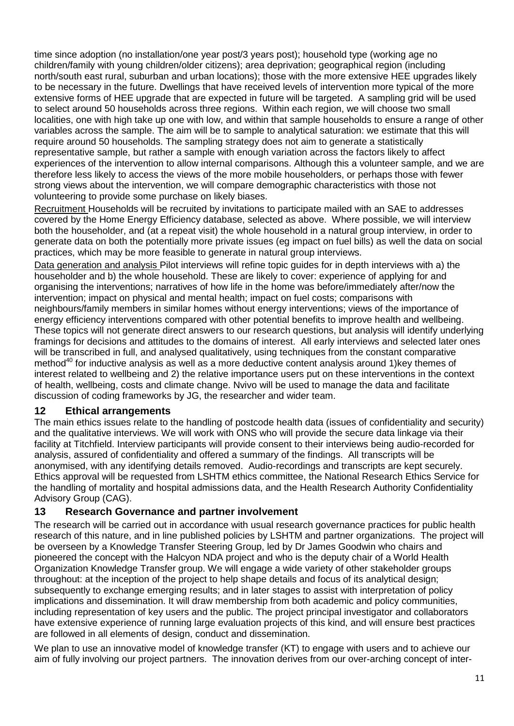time since adoption (no installation/one year post/3 years post); household type (working age no children/family with young children/older citizens); area deprivation; geographical region (including north/south east rural, suburban and urban locations); those with the more extensive HEE upgrades likely to be necessary in the future. Dwellings that have received levels of intervention more typical of the more extensive forms of HEE upgrade that are expected in future will be targeted. A sampling grid will be used to select around 50 households across three regions. Within each region, we will choose two small localities, one with high take up one with low, and within that sample households to ensure a range of other variables across the sample. The aim will be to sample to analytical saturation: we estimate that this will require around 50 households. The sampling strategy does not aim to generate a statistically representative sample, but rather a sample with enough variation across the factors likely to affect experiences of the intervention to allow internal comparisons. Although this a volunteer sample, and we are therefore less likely to access the views of the more mobile householders, or perhaps those with fewer strong views about the intervention, we will compare demographic characteristics with those not volunteering to provide some purchase on likely biases.

Recruitment Households will be recruited by invitations to participate mailed with an SAE to addresses covered by the Home Energy Efficiency database, selected as above. Where possible, we will interview both the householder, and (at a repeat visit) the whole household in a natural group interview, in order to generate data on both the potentially more private issues (eg impact on fuel bills) as well the data on social practices, which may be more feasible to generate in natural group interviews.

Data generation and analysis Pilot interviews will refine topic guides for in depth interviews with a) the householder and b) the whole household. These are likely to cover: experience of applying for and organising the interventions; narratives of how life in the home was before/immediately after/now the intervention; impact on physical and mental health; impact on fuel costs; comparisons with neighbours/family members in similar homes without energy interventions; views of the importance of energy efficiency interventions compared with other potential benefits to improve health and wellbeing. These topics will not generate direct answers to our research questions, but analysis will identify underlying framings for decisions and attitudes to the domains of interest. All early interviews and selected later ones will be transcribed in full, and analysed qualitatively, using techniques from the constant comparative method $40$  for inductive analysis as well as a more deductive content analysis around 1) key themes of interest related to wellbeing and 2) the relative importance users put on these interventions in the context of health, wellbeing, costs and climate change. Nvivo will be used to manage the data and facilitate discussion of coding frameworks by JG, the researcher and wider team.

### **12 Ethical arrangements**

The main ethics issues relate to the handling of postcode health data (issues of confidentiality and security) and the qualitative interviews. We will work with ONS who will provide the secure data linkage via their facility at Titchfield. Interview participants will provide consent to their interviews being audio-recorded for analysis, assured of confidentiality and offered a summary of the findings. All transcripts will be anonymised, with any identifying details removed. Audio-recordings and transcripts are kept securely. Ethics approval will be requested from LSHTM ethics committee, the National Research Ethics Service for the handling of mortality and hospital admissions data, and the Health Research Authority Confidentiality Advisory Group (CAG).

### **13 Research Governance and partner involvement**

The research will be carried out in accordance with usual research governance practices for public health research of this nature, and in line published policies by LSHTM and partner organizations. The project will be overseen by a Knowledge Transfer Steering Group, led by Dr James Goodwin who chairs and pioneered the concept with the Halcyon NDA project and who is the deputy chair of a World Health Organization Knowledge Transfer group. We will engage a wide variety of other stakeholder groups throughout: at the inception of the project to help shape details and focus of its analytical design; subsequently to exchange emerging results; and in later stages to assist with interpretation of policy implications and dissemination. It will draw membership from both academic and policy communities, including representation of key users and the public. The project principal investigator and collaborators have extensive experience of running large evaluation projects of this kind, and will ensure best practices are followed in all elements of design, conduct and dissemination.

We plan to use an innovative model of knowledge transfer (KT) to engage with users and to achieve our aim of fully involving our project partners. The innovation derives from our over-arching concept of inter-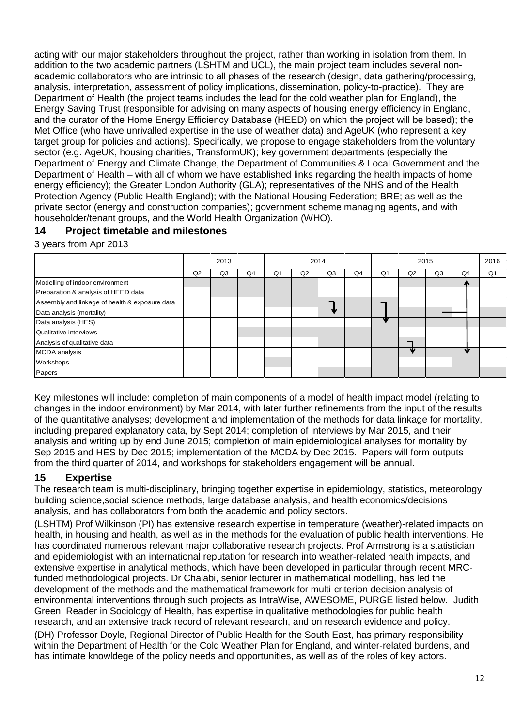acting with our major stakeholders throughout the project, rather than working in isolation from them. In addition to the two academic partners (LSHTM and UCL), the main project team includes several nonacademic collaborators who are intrinsic to all phases of the research (design, data gathering/processing, analysis, interpretation, assessment of policy implications, dissemination, policy-to-practice). They are Department of Health (the project teams includes the lead for the cold weather plan for England), the Energy Saving Trust (responsible for advising on many aspects of housing energy efficiency in England, and the curator of the Home Energy Efficiency Database (HEED) on which the project will be based); the Met Office (who have unrivalled expertise in the use of weather data) and AgeUK (who represent a key target group for policies and actions). Specifically, we propose to engage stakeholders from the voluntary sector (e.g. AgeUK, housing charities, TransformUK); key government departments (especially the Department of Energy and Climate Change, the Department of Communities & Local Government and the Department of Health – with all of whom we have established links regarding the health impacts of home energy efficiency); the Greater London Authority (GLA); representatives of the NHS and of the Health Protection Agency (Public Health England); with the National Housing Federation; BRE; as well as the private sector (energy and construction companies); government scheme managing agents, and with householder/tenant groups, and the World Health Organization (WHO).

### **14 Project timetable and milestones**

3 years from Apr 2013

|                                                | 2013 |    | 2014 |                |    | 2015 |    |                |    | 2016 |              |                |
|------------------------------------------------|------|----|------|----------------|----|------|----|----------------|----|------|--------------|----------------|
|                                                | Q2   | Q3 | Q4   | Q <sub>1</sub> | Q2 | Q3   | Q4 | Q <sub>1</sub> | Q2 | Q3   | Q4           | Q <sub>1</sub> |
| Modelling of indoor environment                |      |    |      |                |    |      |    |                |    |      | $\mathbf{a}$ |                |
| Preparation & analysis of HEED data            |      |    |      |                |    |      |    |                |    |      |              |                |
| Assembly and linkage of health & exposure data |      |    |      |                |    |      |    |                |    |      |              |                |
| Data analysis (mortality)                      |      |    |      |                |    |      |    |                |    |      |              |                |
| Data analysis (HES)                            |      |    |      |                |    |      |    |                |    |      |              |                |
| Qualitative interviews                         |      |    |      |                |    |      |    |                |    |      |              |                |
| Analysis of qualitative data                   |      |    |      |                |    |      |    |                |    |      |              |                |
| <b>MCDA</b> analysis                           |      |    |      |                |    |      |    |                |    |      | sle          |                |
| Workshops                                      |      |    |      |                |    |      |    |                |    |      |              |                |
| Papers                                         |      |    |      |                |    |      |    |                |    |      |              |                |

Key milestones will include: completion of main components of a model of health impact model (relating to changes in the indoor environment) by Mar 2014, with later further refinements from the input of the results of the quantitative analyses; development and implementation of the methods for data linkage for mortality, including prepared explanatory data, by Sept 2014; completion of interviews by Mar 2015, and their analysis and writing up by end June 2015; completion of main epidemiological analyses for mortality by Sep 2015 and HES by Dec 2015; implementation of the MCDA by Dec 2015. Papers will form outputs from the third quarter of 2014, and workshops for stakeholders engagement will be annual.

## **15 Expertise**

The research team is multi-disciplinary, bringing together expertise in epidemiology, statistics, meteorology, building science,social science methods, large database analysis, and health economics/decisions analysis, and has collaborators from both the academic and policy sectors.

(LSHTM) Prof Wilkinson (PI) has extensive research expertise in temperature (weather)-related impacts on health, in housing and health, as well as in the methods for the evaluation of public health interventions. He has coordinated numerous relevant major collaborative research projects. Prof Armstrong is a statistician and epidemiologist with an international reputation for research into weather-related health impacts, and extensive expertise in analytical methods, which have been developed in particular through recent MRCfunded methodological projects. Dr Chalabi, senior lecturer in mathematical modelling, has led the development of the methods and the mathematical framework for multi-criterion decision analysis of environmental interventions through such projects as IntraWise, AWESOME, PURGE listed below. Judith Green, Reader in Sociology of Health, has expertise in qualitative methodologies for public health research, and an extensive track record of relevant research, and on research evidence and policy. (DH) Professor Doyle, Regional Director of Public Health for the South East, has primary responsibility within the Department of Health for the Cold Weather Plan for England, and winter-related burdens, and has intimate knowldege of the policy needs and opportunities, as well as of the roles of key actors.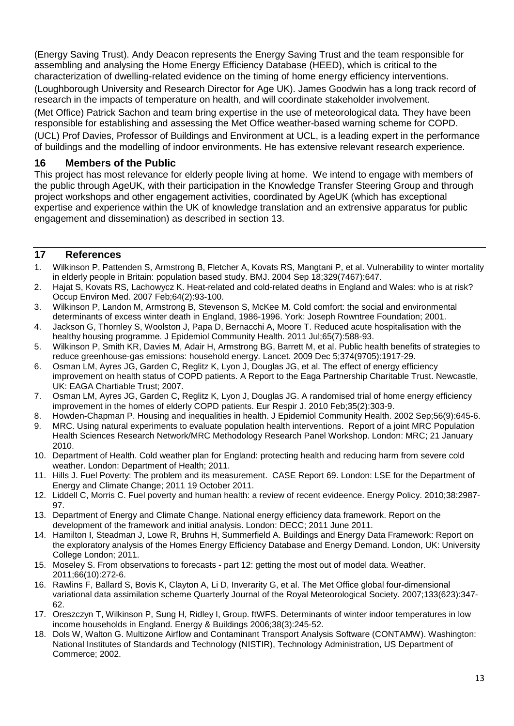(Energy Saving Trust). Andy Deacon represents the Energy Saving Trust and the team responsible for assembling and analysing the Home Energy Efficiency Database (HEED), which is critical to the characterization of dwelling-related evidence on the timing of home energy efficiency interventions. (Loughborough University and Research Director for Age UK). James Goodwin has a long track record of research in the impacts of temperature on health, and will coordinate stakeholder involvement.

(Met Office) Patrick Sachon and team bring expertise in the use of meteorological data. They have been responsible for establishing and assessing the Met Office weather-based warning scheme for COPD. (UCL) Prof Davies, Professor of Buildings and Environment at UCL, is a leading expert in the performance of buildings and the modelling of indoor environments. He has extensive relevant research experience.

#### **16 Members of the Public**

This project has most relevance for elderly people living at home. We intend to engage with members of the public through AgeUK, with their participation in the Knowledge Transfer Steering Group and through project workshops and other engagement activities, coordinated by AgeUK (which has exceptional expertise and experience within the UK of knowledge translation and an extrensive apparatus for public engagement and dissemination) as described in section 13.

#### **17 References**

- 1. Wilkinson P, Pattenden S, Armstrong B, Fletcher A, Kovats RS, Mangtani P, et al. Vulnerability to winter mortality in elderly people in Britain: population based study. BMJ. 2004 Sep 18;329(7467):647.
- 2. Hajat S, Kovats RS, Lachowycz K. Heat-related and cold-related deaths in England and Wales: who is at risk? Occup Environ Med. 2007 Feb;64(2):93-100.
- 3. Wilkinson P, Landon M, Armstrong B, Stevenson S, McKee M. Cold comfort: the social and environmental determinants of excess winter death in England, 1986-1996. York: Joseph Rowntree Foundation; 2001.
- 4. Jackson G, Thornley S, Woolston J, Papa D, Bernacchi A, Moore T. Reduced acute hospitalisation with the healthy housing programme. J Epidemiol Community Health. 2011 Jul;65(7):588-93.
- 5. Wilkinson P, Smith KR, Davies M, Adair H, Armstrong BG, Barrett M, et al. Public health benefits of strategies to reduce greenhouse-gas emissions: household energy. Lancet. 2009 Dec 5;374(9705):1917-29.
- 6. Osman LM, Ayres JG, Garden C, Reglitz K, Lyon J, Douglas JG, et al. The effect of energy efficiency improvement on health status of COPD patients. A Report to the Eaga Partnership Charitable Trust. Newcastle, UK: EAGA Chartiable Trust; 2007.
- 7. Osman LM, Ayres JG, Garden C, Reglitz K, Lyon J, Douglas JG. A randomised trial of home energy efficiency improvement in the homes of elderly COPD patients. Eur Respir J. 2010 Feb;35(2):303-9.
- 8. Howden-Chapman P. Housing and inequalities in health. J Epidemiol Community Health. 2002 Sep;56(9):645-6. 9. MRC. Using natural experiments to evaluate population health interventions. Report of a joint MRC Population
- Health Sciences Research Network/MRC Methodology Research Panel Workshop. London: MRC; 21 January 2010.
- 10. Department of Health. Cold weather plan for England: protecting health and reducing harm from severe cold weather. London: Department of Health; 2011.
- 11. Hills J. Fuel Poverty: The problem and its measurement. CASE Report 69. London: LSE for the Department of Energy and Climate Change; 2011 19 October 2011.
- 12. Liddell C, Morris C. Fuel poverty and human health: a review of recent evideence. Energy Policy. 2010;38:2987- 97.
- 13. Department of Energy and Climate Change. National energy efficiency data framework. Report on the development of the framework and initial analysis. London: DECC; 2011 June 2011.
- 14. Hamilton I, Steadman J, Lowe R, Bruhns H, Summerfield A. Buildings and Energy Data Framework: Report on the exploratory analysis of the Homes Energy Efficiency Database and Energy Demand. London, UK: University College London; 2011.
- 15. Moseley S. From observations to forecasts part 12: getting the most out of model data. Weather. 2011;66(10):272-6.
- 16. Rawlins F, Ballard S, Bovis K, Clayton A, Li D, Inverarity G, et al. The Met Office global four-dimensional variational data assimilation scheme Quarterly Journal of the Royal Meteorological Society. 2007;133(623):347- 62.
- 17. Oreszczyn T, Wilkinson P, Sung H, Ridley I, Group. ftWFS. Determinants of winter indoor temperatures in low income households in England. Energy & Buildings 2006;38(3):245-52.
- 18. Dols W, Walton G. Multizone Airflow and Contaminant Transport Analysis Software (CONTAMW). Washington: National Institutes of Standards and Technology (NISTIR), Technology Administration, US Department of Commerce; 2002.